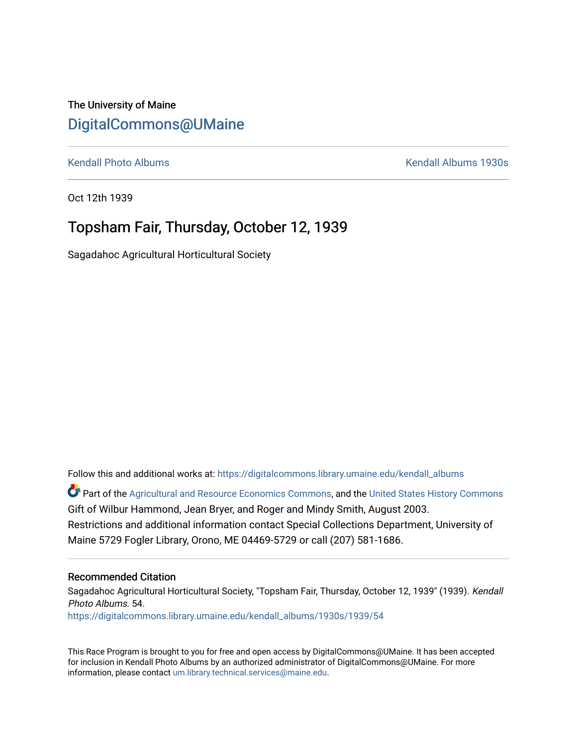The University of Maine [DigitalCommons@UMaine](https://digitalcommons.library.umaine.edu/)

[Kendall Photo Albums](https://digitalcommons.library.umaine.edu/kendall_albums) [Kendall Albums 1930s](https://digitalcommons.library.umaine.edu/kendall_albums/1930s) 

Oct 12th 1939

# Topsham Fair, Thursday, October 12, 1939

Sagadahoc Agricultural Horticultural Society

Follow this and additional works at: [https://digitalcommons.library.umaine.edu/kendall\\_albums](https://digitalcommons.library.umaine.edu/kendall_albums?utm_source=digitalcommons.library.umaine.edu%2Fkendall_albums%2F1930s%2F1939%2F54&utm_medium=PDF&utm_campaign=PDFCoverPages) 

**C** Part of the [Agricultural and Resource Economics Commons,](http://network.bepress.com/hgg/discipline/317?utm_source=digitalcommons.library.umaine.edu%2Fkendall_albums%2F1930s%2F1939%2F54&utm_medium=PDF&utm_campaign=PDFCoverPages) and the [United States History Commons](http://network.bepress.com/hgg/discipline/495?utm_source=digitalcommons.library.umaine.edu%2Fkendall_albums%2F1930s%2F1939%2F54&utm_medium=PDF&utm_campaign=PDFCoverPages) Gift of Wilbur Hammond, Jean Bryer, and Roger and Mindy Smith, August 2003. Restrictions and additional information contact Special Collections Department, University of Maine 5729 Fogler Library, Orono, ME 04469-5729 or call (207) 581-1686.

### Recommended Citation

Sagadahoc Agricultural Horticultural Society, "Topsham Fair, Thursday, October 12, 1939" (1939). Kendall Photo Albums. 54. [https://digitalcommons.library.umaine.edu/kendall\\_albums/1930s/1939/54](https://digitalcommons.library.umaine.edu/kendall_albums/1930s/1939/54?utm_source=digitalcommons.library.umaine.edu%2Fkendall_albums%2F1930s%2F1939%2F54&utm_medium=PDF&utm_campaign=PDFCoverPages)

This Race Program is brought to you for free and open access by DigitalCommons@UMaine. It has been accepted for inclusion in Kendall Photo Albums by an authorized administrator of DigitalCommons@UMaine. For more information, please contact [um.library.technical.services@maine.edu](mailto:um.library.technical.services@maine.edu).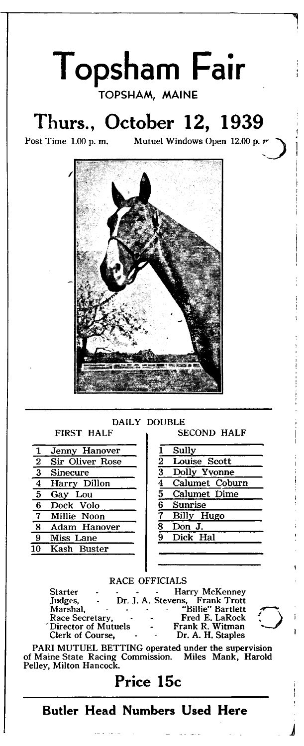

|                                            | Jenny Hanover   |                | Sully            |
|--------------------------------------------|-----------------|----------------|------------------|
| $\bf{2}$                                   | Sir Oliver Rose | $\overline{2}$ | Louise Scott     |
| $\overline{\mathbf{3}}$<br><b>Sinecure</b> |                 | 3              | Dolly Yvonne     |
| $\overline{4}$                             | Harry Dillon    |                | 4 Calumet Coburn |
| 5<br>Gay Lou                               |                 |                | 5 Calumet Dime   |
| 6                                          | Dock Volo       |                | 6 Sunrise        |
| 7 Millie Noon                              |                 |                | Billy Hugo       |
| 8                                          | Adam Hanover    | 8              | Don J.           |
| 9                                          | Miss Lane       |                | 9 Dick Hal       |
| 10 Kash Buster                             |                 |                |                  |
|                                            |                 |                |                  |

| 1              | Sully          |
|----------------|----------------|
| $\frac{2}{3}$  | Louise Scott   |
|                | Dolly Yvonne   |
| $\overline{4}$ | Calumet Coburn |
| $\overline{5}$ | Calumet Dime   |
| $\bar{6}$      | <b>Sunrise</b> |
| 7              | Billy Hugo     |
| $\bar{s}$      | Don J.         |
| ğ              | Dick Hal       |

#### RACE OFFICIALS

| <b>Starter</b><br>$\blacksquare$    |            | Harry McKenney                 |  |
|-------------------------------------|------------|--------------------------------|--|
| Judges.<br>$\overline{\phantom{a}}$ |            | Dr. J. A. Stevens, Frank Trott |  |
| Marshal.                            | $\sim$     | "Billie" Bartlett              |  |
| Race Secretary.<br>$\bullet$        | $\sim$ $-$ | Fred E. LaRock                 |  |
| Director of Mutuels                 | $\bullet$  | Frank R. Witman                |  |
| Clerk of Course.<br>$\bullet$       | $\sim 100$ | Dr. A. H. Staples              |  |
|                                     |            |                                |  |

PARI MUTUEL BETTING operated under the supervision of Maine State Racing Commission. Miles Mank, Harold Pelley, Milton Hancock.

Price 15c

**Butler Head Numbers Used Here**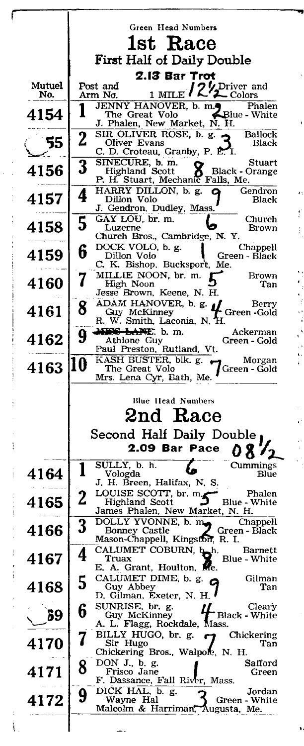|               |                            | Green Head Numbers                                                        |  |
|---------------|----------------------------|---------------------------------------------------------------------------|--|
|               | 1st Race                   |                                                                           |  |
|               | First Half of Daily Double |                                                                           |  |
|               |                            |                                                                           |  |
| <b>Mutuel</b> |                            | 2.13 Bar Trot<br>Post and                                                 |  |
| No.           |                            | 1 MILE / 2 Driver and<br>Arm No.                                          |  |
| 4154          |                            | JENNY HANOVER, b. m.<br>Phalen<br>Blue - White<br>The Great Volo          |  |
|               |                            | J. Phalen, New Market, N. H.                                              |  |
| 55            | $\overline{2}$             | SIR OLIVER ROSE, b. g.<br><b>Ballock</b><br>Oliver Evans<br>Black         |  |
|               |                            | C. D. Croteau, Granby, P. E. I.<br>SINECURE, b. m.<br>Stuart              |  |
| 4156          | 3                          | <b>Black - Orange</b><br>Highland Scott                                   |  |
|               |                            | P. H. Stuart, Mechanic Falls, Me.<br>HARRY DILLON, b. g.<br>Gendron<br>ο  |  |
| 4157          | 4                          | Dillon Volo<br>Black                                                      |  |
|               | 5                          | J. Gendron, Dudley, Mass.<br>GAY LOU, br. m.<br>Church                    |  |
| 4158          |                            | Luzerne<br>Brown<br>Church Bros., Cambridge, N.Y.                         |  |
|               | 6                          | DOCK VOLO, b. g.<br>Chappell                                              |  |
| 4159          |                            | Dillon Volo<br>Green - Black<br>C. K. Bishop, Bucksport, Me.              |  |
| 4160          | 7                          | MILLIE NOON, br. m.<br>Brown                                              |  |
|               |                            | High Noon<br>Tan<br>Jesse Brown, Keene, N. H.                             |  |
| 4161          | 8                          | ADAM HANOVER, b. g.<br>Berry<br>Green-Gold<br>Guy McKinney                |  |
|               |                            | R. W. Smith, Laconia, N. H.                                               |  |
| 4162          | 9                          | Mario Lapper, b.m.<br>Ackerman<br>Athlone Guy<br>Green - Gold             |  |
|               |                            | Paul Preston, Rutland, Vt.                                                |  |
| 4163          | 10                         | KASH BUSTER, blk. g.<br>Morgan<br>The Great Volo<br>Green - Gold          |  |
|               |                            |                                                                           |  |
|               |                            | Mrs. Lena Cyr, Bath, Me.                                                  |  |
|               |                            | <b>Blue Ilead Numbers</b>                                                 |  |
|               |                            |                                                                           |  |
|               |                            | $2$ nd Race                                                               |  |
|               |                            | Second Half Daily Double                                                  |  |
|               |                            | 2.09 Bar Pace                                                             |  |
| 4164          |                            | SULLY, b. h.<br>Cummings<br>Vologda<br>Blue                               |  |
|               |                            | J. H. Breen, Halifax, N. S.                                               |  |
| 4165          | $\mathbf 2$                | LOUISE SCOTT, br. m.<br>Phalen<br>Blue - White<br>Highland Scott<br>گ     |  |
|               |                            | James Phalen, New Market, N. H.<br>Chappell                               |  |
| 4166          | 3                          | DOLLY YVONNE, b. m.<br>Bonney Castle<br>Green - Black                     |  |
|               |                            | Mason-Chappell, Kingston, R. I.<br>CALUMET COBURN, b.h.<br><b>Barnett</b> |  |
| 4167          | 4                          | Truax<br>Blue - White<br>Me.                                              |  |
| ï             |                            | E. A. Grant, Houlton,<br>CALUMET DIME, b. g.<br>Gilman<br>Q               |  |
| 4168          | 5                          | Guy Abbey<br>Tan<br>D. Gilman, Exeter, N. H.                              |  |
|               | 6                          | SUNRISE, br. g.<br>Cleary                                                 |  |
| 89            |                            | Guy McKinney<br><b>Black - White</b><br>A. L. Flagg, Rockdale, Mass.      |  |
|               | 7                          | BILLY HUGO, br. g.<br>Chickering<br>Sir Hugo<br>Tan                       |  |
| 4170          |                            | Chickering Bros., Walpole, N. H.                                          |  |
| 4171          | 8                          | DON J., b. g.<br>Safford<br>Frisco Jane<br>Green                          |  |
|               |                            | F. Dassance, Fall River, Mass.                                            |  |
| 4172          | 9                          | DICK HAL, b. g.<br>Jordan<br>Wayne Hal<br>Green - White                   |  |
|               |                            | Malcolm & Harriman,<br>Augusta, Me.                                       |  |

 $\ddot{\phantom{0}}$ 

 $\bar{\epsilon}$ 

医无线虫 医神经性 医心脏性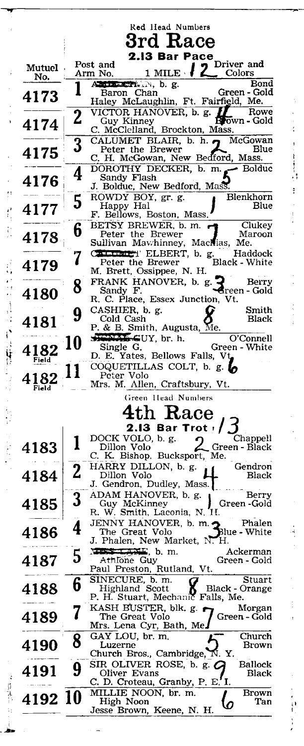|               |                | Red Head Numbers<br>$\bf 3rd$ $\bf Race$                                                                                                                                                                               |
|---------------|----------------|------------------------------------------------------------------------------------------------------------------------------------------------------------------------------------------------------------------------|
|               |                | 2.13 Bar Pace                                                                                                                                                                                                          |
| Mutuel<br>No. |                | Post and<br>Driver and<br>2<br>$1$ MILE $\cdot$<br>Arm No.<br>$\quad$ Colors                                                                                                                                           |
| 4173          |                | AMILLETT. N, b. g.<br>Bond<br>Green - Gold<br>Baron Chan<br>Haley McLaughlin, Ft. Fairfigld, Me.                                                                                                                       |
| 4174          | 2              | VICTOR HANOVER, b. g.<br>Rowe<br><b>Br</b> own - Gold<br>Guy Kinney<br>C. McClelland, Brockton, Mass.                                                                                                                  |
| 4175          | 3              | CALUMET BLAIR, b. h. n McGowan<br>Peter the Brewer<br>Blue<br>C. H. McGowan, New Bedford, Mass.                                                                                                                        |
| 4176          | 4              | DOROTHY DECKER, b. m.<br>► Bolduc<br>Sandy Flash<br>J. Bolduc, New Bedford, Mass.                                                                                                                                      |
| 4177          | 5              | ROWDY BOY, gr. g.<br>Blenkhorn<br>Happy Hal<br>Blue<br>F. Bellows, Boston, Mass.                                                                                                                                       |
| 4178          | 6              | BETSY BREWER, b. m.<br>Clukey<br>Peter the Brewer<br>Maroon<br>Sullivan Mawhinney, MacMias, Me.                                                                                                                        |
| 4179          | 7              | CALLIMET ELBERT, b. g.<br>Haddock<br>Black - White<br>Peter the Brewer<br>M. Brett, Ossippee, N. H.<br>FRANK HANOVER, b. g.<br>Berry                                                                                   |
| 4180          | 8              | Sandy F.<br>∙Green - Gold<br>R. C. Place, Essex Junction, Vt.<br>CASHIER, b. g.<br>Smith                                                                                                                               |
| 4181          | 9              | Cold Cash<br><b>Black</b><br>P. & B. Smith, Augusta, Me.<br><b>NEWLE-GUY</b> , br. h.<br>O'Connell                                                                                                                     |
| Field         | 10             | Single G.<br>Green - White<br>D. E. Yates, Bellows Falls, Vt<br>COQUETILLAS COLT, b. g. lo                                                                                                                             |
| 4182<br>Field |                | Peter Volo<br>Mrs. M. Allen, Craftsbury, Vt.<br>Green Head Numbers                                                                                                                                                     |
|               |                | n Race                                                                                                                                                                                                                 |
| 4183          | l              | 2.13 Bar Trot $I$<br>DOCK VOLO, b. g.<br>Chappell<br>Dillon Volo<br>Green - Black<br>C. K. Bishop, Bucksport, Me.                                                                                                      |
| 4184          | $\overline{2}$ | HARRY DILLON, b. g.<br>Gendron<br>Dillon Volo<br>Black<br>J. Gendron, Dudley, Mass.                                                                                                                                    |
| 4185          |                | ADAM HANOVER, b. g.<br>Berry<br>Guy McKinney<br>Green -Gold<br>R. W. Smith, Laconia, N. H.                                                                                                                             |
| 4186          | 4              | JENNY HANOVER, b. m.っ<br>Phalen<br>The Great Volo<br>Blue - White<br>J. Phalen, New Market, N. H.                                                                                                                      |
| 4187          | 5              | $\frac{1}{2}$ . $\frac{1}{2}$ . $\frac{1}{2}$ . $\frac{1}{2}$ . $\frac{1}{2}$ . $\frac{1}{2}$ . $\frac{1}{2}$ . $\frac{1}{2}$ . $\frac{1}{2}$<br>Ackerman<br>Athlone Guy<br>Green - Gold<br>Paul Preston, Rutland, Vt. |
| 4188          | 6              | SINECURE, b. m.<br>Stuart<br>Highland Scott<br>Black - Orange<br>P. H. Stuart, Mechanic Falls, Me.<br>KASH BUSTER, blk. g.                                                                                             |
| 4189          |                | Morgan<br>The Great Volo<br>Green - Gold<br>Mrs. Lena Cyr, Bath, Me.<br>GAY LOU, br. m.<br>Church                                                                                                                      |
| 4190          | 8              | Luzerne<br>Brown<br>Church Bros., Cambridge, N.Y.                                                                                                                                                                      |
| 4191          | 9              | SIR OLIVER ROSE, b. g. $\boldsymbol{G}$<br>Ballock<br>Oliver Evans<br>Black<br>C. D. Croteau, Granby, P. E. I.                                                                                                         |
| 4192 10       |                | MILLIE NOON, br. m.<br>Brown<br>High Noon<br>Tan<br>Ω<br>Jesse Brown, Keene, N. H.                                                                                                                                     |

医水面 医生物细胞 医心力的

医单位 医皮肤皮

 $\ddot{\cdot}$ 

计可分数 计字符

 $\ddot{\phantom{0}}$ 

 $\cdot$ 

人名贝尔基 君子有处 网络对对于诗诗家 计算段分级 人名特尔伯恩尔

1. 法要求的 的复数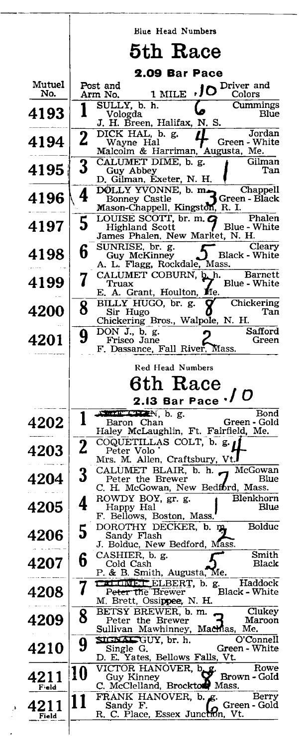|               |                         | Blue Head Numbers                                                                                                             |  |
|---------------|-------------------------|-------------------------------------------------------------------------------------------------------------------------------|--|
|               | 5th Race                |                                                                                                                               |  |
|               |                         | 2.09 Bar Pace                                                                                                                 |  |
| Mutuel<br>No. |                         | Post and<br>Driver and<br>.JO<br>1 MILE<br>Arm No.<br>Colors                                                                  |  |
| 4193          |                         | Cummings<br>SULLY, b. h.<br>Vologda<br>Blue<br>J. H. Breen, Halifax, N. S.                                                    |  |
| 4194          | $\overline{\mathbf{2}}$ | $\overline{\text{DICK HAL}}, b. g.$<br>Jordan<br>$\bm{\mu}$<br>Green - White<br>Wayne Hal<br>Malcolm & Harriman, Augusta, Me. |  |
| 4195          | 3                       | CALUMET DIME, b. g.<br>Gilman<br>Tan<br>Guy Abbey<br>D. Gilman, Exeter, N. H.                                                 |  |
| 4196          | 4                       | D. Gilman, Martin D. M. Chappen<br>DOLLY YVONNE, b. m. Green - Black<br>Mason-Chappell, Kingston, R. I.                       |  |
| 4197          | 5                       | LOUISE SCOTT, br. m. G<br>Phalen<br><b>Highland Scott</b><br><b>Blue - White</b><br>James Phalen, New Market, N. H.           |  |
| 4198          | 6                       | Cleary<br>SUNRISE, br. g.<br>$\overline{\mathbf{b}}$ Black - White<br>Guy McKinney<br>ے<br>A. L. Flagg, Rockdale, Mass.       |  |
| 4199          | 7                       | CALUMET COBURN, b. h. Barnett<br>Blue - White<br>Truax<br>E. A. Grant, Houlton, Me.                                           |  |
| 4200          | 8                       | BILLY HUGO, br. g.<br>Chickering<br>Sir Hugo<br>Tan<br>Chickering Bros., Walpole, N. H.<br>Safford                            |  |
| 4201          | 9                       | DON J., b. g.<br>Frisco Jane<br>Green<br>F. Dassance, Fall River, Mass.                                                       |  |
|               |                         | Red Head Numbers                                                                                                              |  |
|               |                         |                                                                                                                               |  |
|               |                         | 6th Race                                                                                                                      |  |
|               |                         | ./ O<br>2.13 Bar Pace                                                                                                         |  |
| 4202          | 1                       | <b>AMINGRAM</b> , b. g.<br>Bond<br>Green - Gold<br>Baron Chan<br>Haley McLaughlin, Ft. Fairfield, Me.                         |  |
| 4203          | $\mathbf 2$             | COQUETILLAS COLT, b. g. 1<br>Peter Volo<br>Mrs. M. Allen, Craftsbury, Vt.                                                     |  |
| 4204          | 3                       | CALUMET BLAIR, b. h. McGowan<br>Blue<br>Peter the Brewer<br>C. H. McGowan, New Bedford, Mass.                                 |  |
| 4205          | 4                       | ROWDY BOY, gr. g. Blenkhorn<br>Blue<br>Happy Hal<br>F. Bellows, Boston, Mass.                                                 |  |
| 4206          | 5                       | DOROTHY DECKER, b. m.<br>Bolduc<br>Sandy Flash<br>J. Bolduc, New Bedford, Mass.                                               |  |
| 4207          | 6                       | Smith<br>CASHIER, b. g.<br>Black<br>Cold Cash<br>P. & B. Smith, Augusta, Me.                                                  |  |
| 4208          | 7                       | CALUMET ELBERT, b. g.<br>Haddock<br>Black - White<br>P <del>eter t</del> he Brewer<br>M. Brett, Ossi <b>ppee,</b> N. H.       |  |
| 4209          | 8                       | BETSY BREWER, b. m.<br>Clukey<br>Peter the Brewer<br>Maroon<br>Sullivan Mawhinney, Machias, Me.                               |  |
| 4210          | 9                       | SIGNAL GUY, br. h.<br>O'Connell<br>Single G.<br>Green - White<br>D. E. Yates, Bellows Falls, Vt.                              |  |
| 4211<br>Feld  | 10                      | VICTOR HANOVER, b<br>Rowe<br>-ደ<br>Guy Kinney<br>Brown - Gold<br>C. McClelland, Brockton, Mass.                               |  |
| 4211<br>Field | 11                      | FRANK HANOVER, b. g.<br>Berry<br>Green - Gold<br>Sandy F.<br>R. C. Place, Essex Junction, Vt.                                 |  |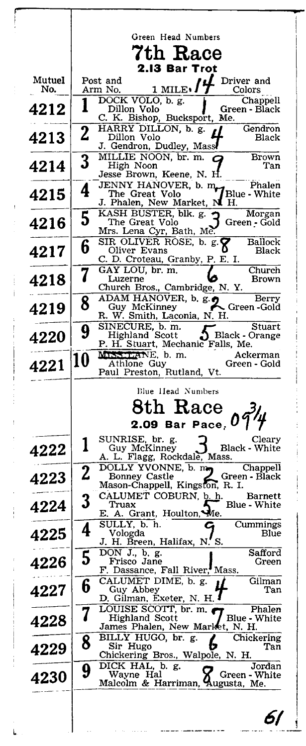|             | Green Head Numbers |                                                                              |  |
|-------------|--------------------|------------------------------------------------------------------------------|--|
|             |                    | 7th Race<br><b>2.13 Bar Trot</b>                                             |  |
| Mutuel      |                    | Post and<br>Driver and<br>1 MILE.                                            |  |
| No.         |                    | Arm No.<br>Colors<br>DOCK VOLO, b. g.<br>Chappell                            |  |
| 4212        |                    | Dillon Volo<br>Green - Black<br>C. K. Bishop, Bucksport, Me.                 |  |
| 4213        | $\bf{2}$           | HARRY DILLON, b. g.<br>Gendron<br>Dillon Volo<br>Black                       |  |
|             |                    | J. Gendron, Dudley, Mass<br>MILLIE NOON, br. m.<br>Brown                     |  |
| 4214        | $\bf{3}$           | High Noon<br>Tan<br>Jesse Brown, Keene, N. H                                 |  |
| 4215        | 4                  | JENNY HANOVER, b. m. Phalen<br>TENNY HANOVER, b. m. Phile - White            |  |
|             |                    | J. Phalen, New Market, N H.<br>KASH BUSTER, blk. g.                          |  |
| 4216        | 5                  | Morgan<br>The Great Volo<br>Green - Gold<br>Mrs. Lena Cyr, Bath, Me          |  |
|             | 6                  | SIR OLIVER ROSE, b. g.<br>Ballock<br>Oliver Evans                            |  |
| 4217        |                    | Black<br>C. D. Croteau, Granby, P. E. I.                                     |  |
| 4218        | 7                  | GAY LOU, br. m.<br>Church<br>Luzerne<br>Brown                                |  |
|             | 8                  | Church Bros., Cambridge, N.Y.<br>$\overline{ADAM}$ HANOVER, b. g.e.<br>Berry |  |
| 4219        |                    | $\leftarrow$ Green -Gold<br>Guy McKinney<br>R. W. Smith, Laconia, N. H.      |  |
| 4220        | 9                  | SINECURE, b. m.<br>Stuart<br>Highland Scott<br>Black - Orange                |  |
|             | 10                 | P. H. Stuart, Mechanic Falls, Me.<br>MISS LANE, b. m.<br>Ackerman            |  |
| 4221        |                    | Athlone Guy<br>Green - Gold<br>Paul Preston, Rutland, Vt.                    |  |
|             |                    | Blue Head Numbers                                                            |  |
|             |                    | 8th Race                                                                     |  |
|             |                    | 2.09 Bar Pace, $09\frac{7}{4}$                                               |  |
| 4222        | 1                  | SUNRISE, br. g.<br>Cleary<br>Guy McKinney<br><b>Black - White</b>            |  |
|             |                    | A. L. Flagg, Rockdale, Mass.<br>DOLLY YVONNE, b. my<br>Chappell              |  |
| 4223        | 2                  | Green - Black<br>Bonney Castle<br>Mason-Chappell, Kingston, R. I.            |  |
|             | 3                  | CALUMET COBURN, b. h.<br>Barnett<br>Blue - White<br>Truax                    |  |
| 4224        |                    | E. A. Grant, Houlton, Me.                                                    |  |
| 4225        | 4                  | SULLY, b. h.<br>Cummings<br>Vologda<br>Blue                                  |  |
|             | 5                  | J. H. Breen, Halifax, N. S.<br>DON J., b. g.<br>Safford                      |  |
| 4226        |                    | Frisco Jane<br>Green<br>F. Dassance, Fall River, Mass.                       |  |
| 4227        | 6                  | CALUMET DIME, b. g.<br>Gilman<br>Guy Abbey<br>Tan                            |  |
|             |                    | D. Gilman, Exeter, N. H.<br>LOUISE SCOTT, br. m.<br>Phalen                   |  |
| 4228        | 7                  | Highland Scott<br>Blue - White<br>James Phalen, New Market, N. H.            |  |
| 4229        | 8                  | BILLY HUGO, br. g.<br>Chickering<br>ſ,<br>Sir Hugo<br>Tan                    |  |
|             |                    | Chickering Bros., Walpole, N. H.<br>DICK HAL, b. g.<br>Jordan                |  |
| <b>4230</b> | 9                  | Wayne Hal<br>Green - White<br>Malcolm & Harriman, Augusta, Me.               |  |
|             |                    |                                                                              |  |
|             |                    | 67                                                                           |  |
|             |                    |                                                                              |  |

 $\begin{array}{c} \n\bullet & \bullet & \bullet & \bullet \\ \n\bullet & \bullet & \bullet & \bullet \\ \n\bullet & \bullet & \bullet & \bullet \\ \n\end{array}$ 

ļ

ĵ